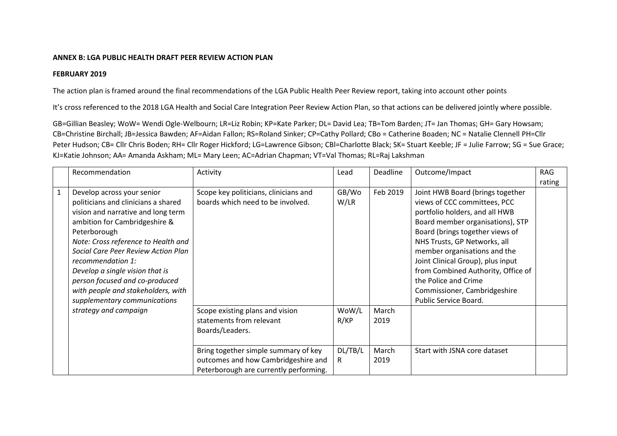## **ANNEX B: LGA PUBLIC HEALTH DRAFT PEER REVIEW ACTION PLAN**

## **FEBRUARY 2019**

The action plan is framed around the final recommendations of the LGA Public Health Peer Review report, taking into account other points

It's cross referenced to the 2018 LGA Health and Social Care Integration Peer Review Action Plan, so that actions can be delivered jointly where possible.

GB=Gillian Beasley; WoW= Wendi Ogle-Welbourn; LR=Liz Robin; KP=Kate Parker; DL= David Lea; TB=Tom Barden; JT= Jan Thomas; GH= Gary Howsam; CB=Christine Birchall; JB=Jessica Bawden; AF=Aidan Fallon; RS=Roland Sinker; CP=Cathy Pollard; CBo = Catherine Boaden; NC = Natalie Clennell PH=Cllr Peter Hudson; CB= Cllr Chris Boden; RH= Cllr Roger Hickford; LG=Lawrence Gibson; CBl=Charlotte Black; SK= Stuart Keeble; JF = Julie Farrow; SG = Sue Grace; KJ=Katie Johnson; AA= Amanda Askham; ML= Mary Leen; AC=Adrian Chapman; VT=Val Thomas; RL=Raj Lakshman

|   | Recommendation                                                                                                                                                                                                                         | Activity                                                                                                              | Lead          | Deadline      | Outcome/Impact                                                                                                                                                                                                                            | <b>RAG</b> |
|---|----------------------------------------------------------------------------------------------------------------------------------------------------------------------------------------------------------------------------------------|-----------------------------------------------------------------------------------------------------------------------|---------------|---------------|-------------------------------------------------------------------------------------------------------------------------------------------------------------------------------------------------------------------------------------------|------------|
|   |                                                                                                                                                                                                                                        |                                                                                                                       |               |               |                                                                                                                                                                                                                                           | rating     |
| 1 | Develop across your senior<br>politicians and clinicians a shared<br>vision and narrative and long term<br>ambition for Cambridgeshire &<br>Peterborough<br>Note: Cross reference to Health and<br>Social Care Peer Review Action Plan | Scope key politicians, clinicians and<br>boards which need to be involved.                                            | GB/Wo<br>W/LR | Feb 2019      | Joint HWB Board (brings together<br>views of CCC committees, PCC<br>portfolio holders, and all HWB<br>Board member organisations), STP<br>Board (brings together views of<br>NHS Trusts, GP Networks, all<br>member organisations and the |            |
|   | recommendation 1:<br>Develop a single vision that is<br>person focused and co-produced<br>with people and stakeholders, with<br>supplementary communications                                                                           |                                                                                                                       |               |               | Joint Clinical Group), plus input<br>from Combined Authority, Office of<br>the Police and Crime<br>Commissioner, Cambridgeshire<br>Public Service Board.                                                                                  |            |
|   | strategy and campaign                                                                                                                                                                                                                  | Scope existing plans and vision<br>statements from relevant<br>Boards/Leaders.                                        | WoW/L<br>R/KP | March<br>2019 |                                                                                                                                                                                                                                           |            |
|   |                                                                                                                                                                                                                                        | Bring together simple summary of key<br>outcomes and how Cambridgeshire and<br>Peterborough are currently performing. | DL/TB/L<br>R  | March<br>2019 | Start with JSNA core dataset                                                                                                                                                                                                              |            |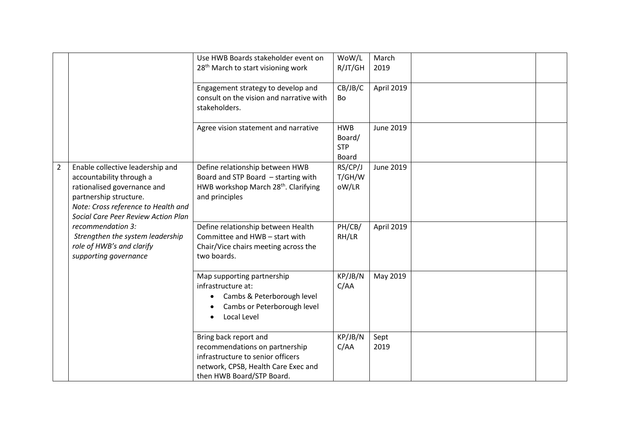|                |                                                                                                                                                                                                                                                                                                                    | Use HWB Boards stakeholder event on<br>28 <sup>th</sup> March to start visioning work                                                                            | WoW/L<br>R/JT/GH                            | March<br>2019 |
|----------------|--------------------------------------------------------------------------------------------------------------------------------------------------------------------------------------------------------------------------------------------------------------------------------------------------------------------|------------------------------------------------------------------------------------------------------------------------------------------------------------------|---------------------------------------------|---------------|
|                |                                                                                                                                                                                                                                                                                                                    | Engagement strategy to develop and<br>consult on the vision and narrative with<br>stakeholders.                                                                  | CB/JB/C<br>Bo                               | April 2019    |
|                |                                                                                                                                                                                                                                                                                                                    | Agree vision statement and narrative                                                                                                                             | <b>HWB</b><br>Board/<br><b>STP</b><br>Board | June 2019     |
| $\overline{2}$ | Enable collective leadership and<br>accountability through a<br>rationalised governance and<br>partnership structure.<br>Note: Cross reference to Health and<br>Social Care Peer Review Action Plan<br>recommendation 3:<br>Strengthen the system leadership<br>role of HWB's and clarify<br>supporting governance | Define relationship between HWB<br>Board and STP Board - starting with<br>HWB workshop March 28 <sup>th</sup> . Clarifying<br>and principles                     | RS/CP/J<br>T/GH/W<br>oW/LR                  | June 2019     |
|                |                                                                                                                                                                                                                                                                                                                    | Define relationship between Health<br>Committee and HWB - start with<br>Chair/Vice chairs meeting across the<br>two boards.                                      | PH/CB/<br>RH/LR                             | April 2019    |
|                |                                                                                                                                                                                                                                                                                                                    | Map supporting partnership<br>infrastructure at:<br>Cambs & Peterborough level<br>$\bullet$<br>Cambs or Peterborough level<br>Local Level                        | KP/JB/N<br>C/AA                             | May 2019      |
|                |                                                                                                                                                                                                                                                                                                                    | Bring back report and<br>recommendations on partnership<br>infrastructure to senior officers<br>network, CPSB, Health Care Exec and<br>then HWB Board/STP Board. | KP/JB/N<br>C/AA                             | Sept<br>2019  |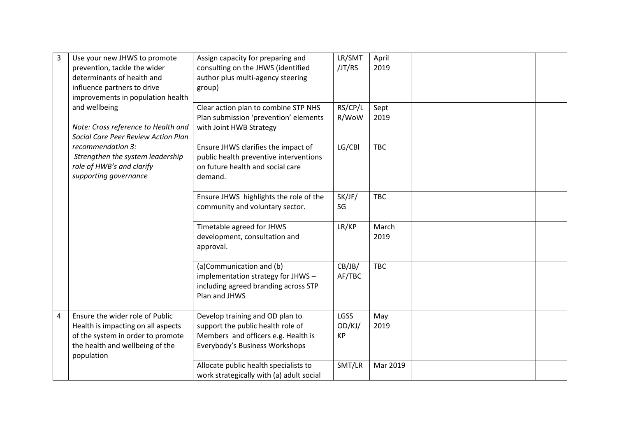| 3 | Use your new JHWS to promote<br>prevention, tackle the wider<br>determinants of health and<br>influence partners to drive                                                                                                                       | Assign capacity for preparing and<br>consulting on the JHWS (identified<br>author plus multi-agency steering<br>group)                        | LR/SMT<br>/JT/RS                   | April<br>2019 |  |
|---|-------------------------------------------------------------------------------------------------------------------------------------------------------------------------------------------------------------------------------------------------|-----------------------------------------------------------------------------------------------------------------------------------------------|------------------------------------|---------------|--|
|   | improvements in population health<br>and wellbeing<br>Note: Cross reference to Health and<br>Social Care Peer Review Action Plan<br>recommendation 3:<br>Strengthen the system leadership<br>role of HWB's and clarify<br>supporting governance | Clear action plan to combine STP NHS<br>Plan submission 'prevention' elements<br>with Joint HWB Strategy                                      | RS/CP/L<br>R/WoW                   | Sept<br>2019  |  |
|   |                                                                                                                                                                                                                                                 | Ensure JHWS clarifies the impact of<br>public health preventive interventions<br>on future health and social care<br>demand.                  | LG/CBI                             | <b>TBC</b>    |  |
|   |                                                                                                                                                                                                                                                 | Ensure JHWS highlights the role of the<br>community and voluntary sector.                                                                     | SK/JF/<br>SG                       | <b>TBC</b>    |  |
|   |                                                                                                                                                                                                                                                 | Timetable agreed for JHWS<br>development, consultation and<br>approval.                                                                       | LR/KP                              | March<br>2019 |  |
|   |                                                                                                                                                                                                                                                 | (a)Communication and (b)<br>implementation strategy for JHWS-<br>including agreed branding across STP<br>Plan and JHWS                        | CB/JB/<br>AF/TBC                   | <b>TBC</b>    |  |
| 4 | Ensure the wider role of Public<br>Health is impacting on all aspects<br>of the system in order to promote<br>the health and wellbeing of the<br>population                                                                                     | Develop training and OD plan to<br>support the public health role of<br>Members and officers e.g. Health is<br>Everybody's Business Workshops | <b>LGSS</b><br>OD/KJ/<br><b>KP</b> | May<br>2019   |  |
|   |                                                                                                                                                                                                                                                 | Allocate public health specialists to<br>work strategically with (a) adult social                                                             | SMT/LR                             | Mar 2019      |  |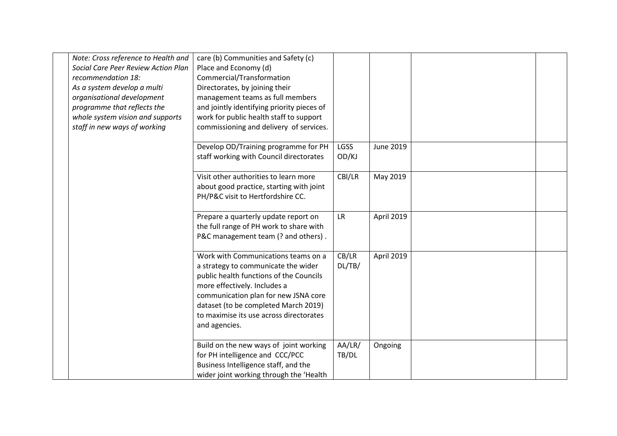| Note: Cross reference to Health and<br>Social Care Peer Review Action Plan<br>recommendation 18:<br>As a system develop a multi<br>organisational development<br>programme that reflects the<br>whole system vision and supports<br>staff in new ways of working | care (b) Communities and Safety (c)<br>Place and Economy (d)<br>Commercial/Transformation<br>Directorates, by joining their<br>management teams as full members<br>and jointly identifying priority pieces of<br>work for public health staff to support<br>commissioning and delivery of services. |                 |            |  |
|------------------------------------------------------------------------------------------------------------------------------------------------------------------------------------------------------------------------------------------------------------------|-----------------------------------------------------------------------------------------------------------------------------------------------------------------------------------------------------------------------------------------------------------------------------------------------------|-----------------|------------|--|
|                                                                                                                                                                                                                                                                  | Develop OD/Training programme for PH<br>staff working with Council directorates                                                                                                                                                                                                                     | LGSS<br>OD/KJ   | June 2019  |  |
|                                                                                                                                                                                                                                                                  | Visit other authorities to learn more<br>about good practice, starting with joint<br>PH/P&C visit to Hertfordshire CC.                                                                                                                                                                              | CBI/LR          | May 2019   |  |
|                                                                                                                                                                                                                                                                  | Prepare a quarterly update report on<br>the full range of PH work to share with<br>P&C management team (? and others).                                                                                                                                                                              | <b>LR</b>       | April 2019 |  |
|                                                                                                                                                                                                                                                                  | Work with Communications teams on a<br>a strategy to communicate the wider<br>public health functions of the Councils<br>more effectively. Includes a<br>communication plan for new JSNA core<br>dataset (to be completed March 2019)<br>to maximise its use across directorates<br>and agencies.   | CB/LR<br>DL/TB/ | April 2019 |  |
|                                                                                                                                                                                                                                                                  | Build on the new ways of joint working<br>for PH intelligence and CCC/PCC<br>Business Intelligence staff, and the<br>wider joint working through the 'Health                                                                                                                                        | AA/LR/<br>TB/DL | Ongoing    |  |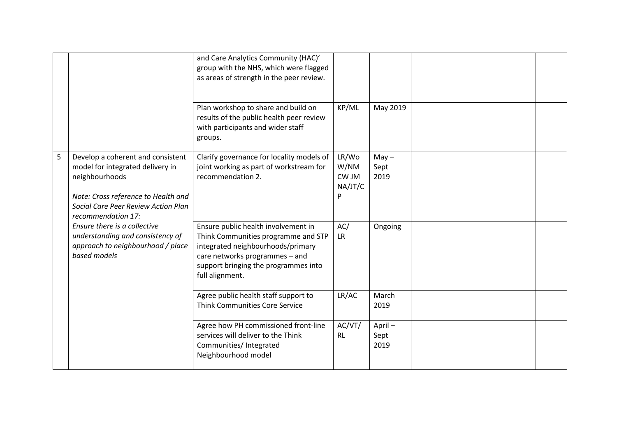|   |                                                                                                                                                                                             | and Care Analytics Community (HAC)'<br>group with the NHS, which were flagged<br>as areas of strength in the peer review.                                                                                    |                                        |                         |  |
|---|---------------------------------------------------------------------------------------------------------------------------------------------------------------------------------------------|--------------------------------------------------------------------------------------------------------------------------------------------------------------------------------------------------------------|----------------------------------------|-------------------------|--|
|   |                                                                                                                                                                                             | Plan workshop to share and build on<br>results of the public health peer review<br>with participants and wider staff<br>groups.                                                                              | KP/ML                                  | May 2019                |  |
| 5 | Develop a coherent and consistent<br>model for integrated delivery in<br>neighbourhoods<br>Note: Cross reference to Health and<br>Social Care Peer Review Action Plan<br>recommendation 17: | Clarify governance for locality models of<br>joint working as part of workstream for<br>recommendation 2.                                                                                                    | LR/Wo<br>W/NM<br>CW JM<br>NA/JT/C<br>P | $May -$<br>Sept<br>2019 |  |
|   | Ensure there is a collective<br>understanding and consistency of<br>approach to neighbourhood / place<br>based models                                                                       | Ensure public health involvement in<br>Think Communities programme and STP<br>integrated neighbourhoods/primary<br>care networks programmes - and<br>support bringing the programmes into<br>full alignment. | AC/<br><b>LR</b>                       | Ongoing                 |  |
|   |                                                                                                                                                                                             | Agree public health staff support to<br><b>Think Communities Core Service</b>                                                                                                                                | LR/AC                                  | March<br>2019           |  |
|   |                                                                                                                                                                                             | Agree how PH commissioned front-line<br>services will deliver to the Think<br>Communities/ Integrated<br>Neighbourhood model                                                                                 | AC/VT/<br><b>RL</b>                    | April-<br>Sept<br>2019  |  |